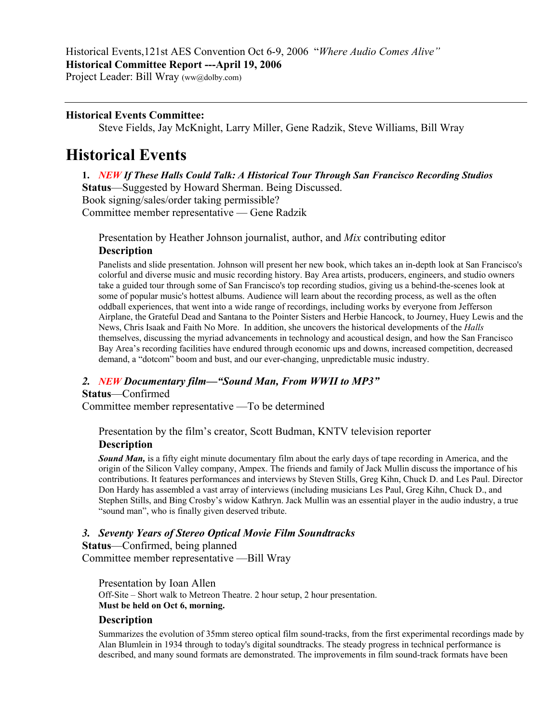Historical Events,121st AES Convention Oct 6-9, 2006 "*Where Audio Comes Alive"* **Historical Committee Report ---April 19, 2006** 

Project Leader: Bill Wray (ww@dolby.com)

# **Historical Events Committee:**

Steve Fields, Jay McKnight, Larry Miller, Gene Radzik, Steve Williams, Bill Wray

# **Historical Events**

**1.** *NEW If These Halls Could Talk: A Historical Tour Through San Francisco Recording Studios* **Status**—Suggested by Howard Sherman. Being Discussed. Book signing/sales/order taking permissible? Committee member representative — Gene Radzik

Presentation by Heather Johnson journalist, author, and *Mix* contributing editor

# **Description**

Panelists and slide presentation. Johnson will present her new book, which takes an in-depth look at San Francisco's colorful and diverse music and music recording history. Bay Area artists, producers, engineers, and studio owners take a guided tour through some of San Francisco's top recording studios, giving us a behind-the-scenes look at some of popular music's hottest albums. Audience will learn about the recording process, as well as the often oddball experiences, that went into a wide range of recordings, including works by everyone from Jefferson Airplane, the Grateful Dead and Santana to the Pointer Sisters and Herbie Hancock, to Journey, Huey Lewis and the News, Chris Isaak and Faith No More. In addition, she uncovers the historical developments of the *Halls* themselves, discussing the myriad advancements in technology and acoustical design, and how the San Francisco Bay Area's recording facilities have endured through economic ups and downs, increased competition, decreased demand, a "dotcom" boom and bust, and our ever-changing, unpredictable music industry.

# *2. NEW Documentary film—"Sound Man, From WWII to MP3"*

# **Status**—Confirmed

Committee member representative —To be determined

Presentation by the film's creator, Scott Budman, KNTV television reporter **Description** 

*Sound Man,* is a fifty eight minute documentary film about the early days of tape recording in America, and the origin of the Silicon Valley company, Ampex. The friends and family of Jack Mullin discuss the importance of his contributions. It features performances and interviews by Steven Stills, Greg Kihn, Chuck D. and Les Paul. Director Don Hardy has assembled a vast array of interviews (including musicians Les Paul, Greg Kihn, Chuck D., and Stephen Stills, and Bing Crosby's widow Kathryn. Jack Mullin was an essential player in the audio industry, a true "sound man", who is finally given deserved tribute.

# *3. Seventy Years of Stereo Optical Movie Film Soundtracks*

**Status**—Confirmed, being planned

Committee member representative —Bill Wray

Presentation by Ioan Allen Off-Site – Short walk to Metreon Theatre. 2 hour setup, 2 hour presentation. **Must be held on Oct 6, morning.** 

#### **Description**

Summarizes the evolution of 35mm stereo optical film sound-tracks, from the first experimental recordings made by Alan Blumlein in 1934 through to today's digital soundtracks. The steady progress in technical performance is described, and many sound formats are demonstrated. The improvements in film sound-track formats have been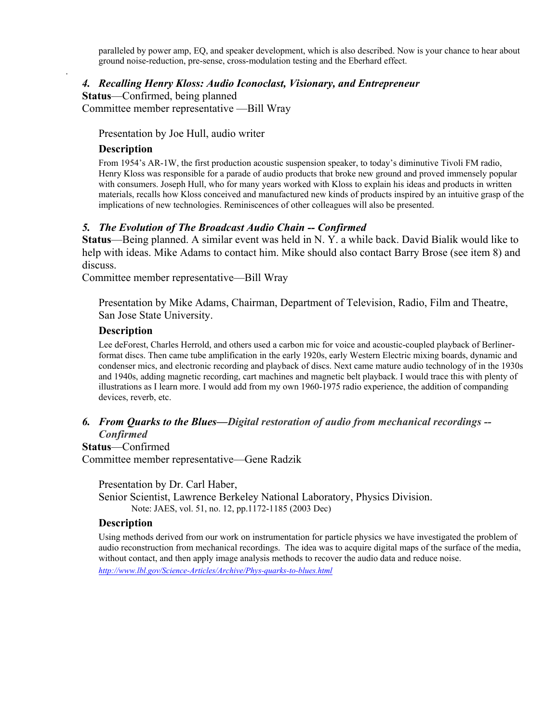paralleled by power amp, EQ, and speaker development, which is also described. Now is your chance to hear about ground noise-reduction, pre-sense, cross-modulation testing and the Eberhard effect.

## *4. Recalling Henry Kloss: Audio Iconoclast, Visionary, and Entrepreneur*

**Status**—Confirmed, being planned

Committee member representative —Bill Wray

Presentation by Joe Hull, audio writer

#### **Description**

.

From 1954's AR-1W, the first production acoustic suspension speaker, to today's diminutive Tivoli FM radio, Henry Kloss was responsible for a parade of audio products that broke new ground and proved immensely popular with consumers. Joseph Hull, who for many years worked with Kloss to explain his ideas and products in written materials, recalls how Kloss conceived and manufactured new kinds of products inspired by an intuitive grasp of the implications of new technologies. Reminiscences of other colleagues will also be presented.

#### *5. The Evolution of The Broadcast Audio Chain -- Confirmed*

**Status**—Being planned. A similar event was held in N. Y. a while back. David Bialik would like to help with ideas. Mike Adams to contact him. Mike should also contact Barry Brose (see item 8) and discuss.

Committee member representative—Bill Wray

Presentation by Mike Adams, Chairman, Department of Television, Radio, Film and Theatre, San Jose State University.

## **Description**

Lee deForest, Charles Herrold, and others used a carbon mic for voice and acoustic-coupled playback of Berlinerformat discs. Then came tube amplification in the early 1920s, early Western Electric mixing boards, dynamic and condenser mics, and electronic recording and playback of discs. Next came mature audio technology of in the 1930s and 1940s, adding magnetic recording, cart machines and magnetic belt playback. I would trace this with plenty of illustrations as I learn more. I would add from my own 1960-1975 radio experience, the addition of companding devices, reverb, etc.

## *6. From Quarks to the Blues—Digital restoration of audio from mechanical recordings -- Confirmed*

**Status**—Confirmed

Committee member representative—Gene Radzik

Presentation by Dr. Carl Haber,

Senior Scientist, Lawrence Berkeley National Laboratory, Physics Division. Note: JAES, vol. 51, no. 12, pp.1172-1185 (2003 Dec)

#### **Description**

Using methods derived from our work on instrumentation for particle physics we have investigated the problem of audio reconstruction from mechanical recordings. The idea was to acquire digital maps of the surface of the media, without contact, and then apply image analysis methods to recover the audio data and reduce noise.

*<http://www.lbl.gov/Science-Articles/Archive/Phys-quarks-to-blues.html>*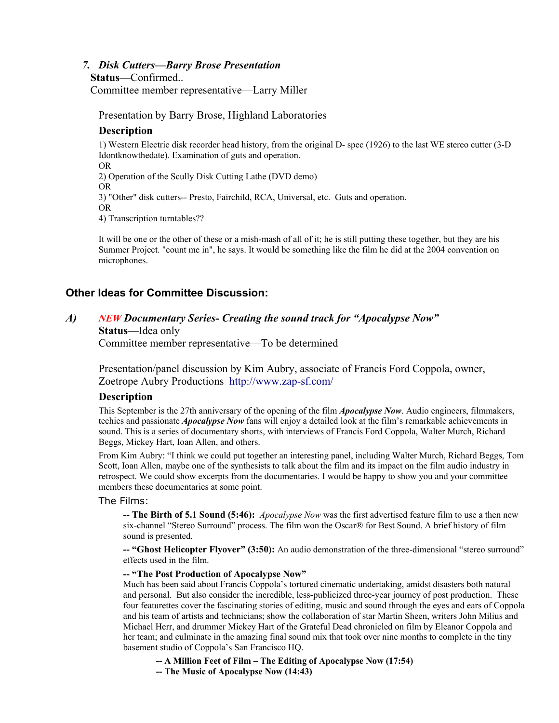#### *7. Disk Cutters—Barry Brose Presentation*

#### **Status**—Confirmed..

Committee member representative—Larry Miller

Presentation by Barry Brose, Highland Laboratories

## **Description**

1) Western Electric disk recorder head history, from the original D- spec (1926) to the last WE stereo cutter (3-D Idontknowthedate). Examination of guts and operation. OR 2) Operation of the Scully Disk Cutting Lathe (DVD demo) OR 3) "Other" disk cutters-- Presto, Fairchild, RCA, Universal, etc. Guts and operation. OR

4) Transcription turntables??

It will be one or the other of these or a mish-mash of all of it; he is still putting these together, but they are his Summer Project. "count me in", he says. It would be something like the film he did at the 2004 convention on microphones.

# **Other Ideas for Committee Discussion:**

# *A) NEW Documentary Series- Creating the sound track for "Apocalypse Now"*

# **Status**—Idea only

Committee member representative—To be determined

Presentation/panel discussion by Kim Aubry, associate of Francis Ford Coppola, owner, Zoetrope Aubry Productions http://www.zap-sf.com/

#### **Description**

This September is the 27th anniversary of the opening of the film *Apocalypse Now*. Audio engineers, filmmakers, techies and passionate *Apocalypse Now* fans will enjoy a detailed look at the film's remarkable achievements in sound. This is a series of documentary shorts, with interviews of Francis Ford Coppola, Walter Murch, Richard Beggs, Mickey Hart, Ioan Allen, and others.

From Kim Aubry: "I think we could put together an interesting panel, including Walter Murch, Richard Beggs, Tom Scott, Ioan Allen, maybe one of the synthesists to talk about the film and its impact on the film audio industry in retrospect. We could show excerpts from the documentaries. I would be happy to show you and your committee members these documentaries at some point.

#### The Films:

**-- The Birth of 5.1 Sound (5:46):** *Apocalypse Now* was the first advertised feature film to use a then new six-channel "Stereo Surround" process. The film won the Oscar® for Best Sound. A brief history of film sound is presented.

**-- "Ghost Helicopter Flyover" (3:50):** An audio demonstration of the three-dimensional "stereo surround" effects used in the film.

#### **-- "The Post Production of Apocalypse Now"**

Much has been said about Francis Coppola's tortured cinematic undertaking, amidst disasters both natural and personal. But also consider the incredible, less-publicized three-year journey of post production. These four featurettes cover the fascinating stories of editing, music and sound through the eyes and ears of Coppola and his team of artists and technicians; show the collaboration of star Martin Sheen, writers John Milius and Michael Herr, and drummer Mickey Hart of the Grateful Dead chronicled on film by Eleanor Coppola and her team; and culminate in the amazing final sound mix that took over nine months to complete in the tiny basement studio of Coppola's San Francisco HQ.

- **-- A Million Feet of Film The Editing of Apocalypse Now (17:54)**
- **-- The Music of Apocalypse Now (14:43)**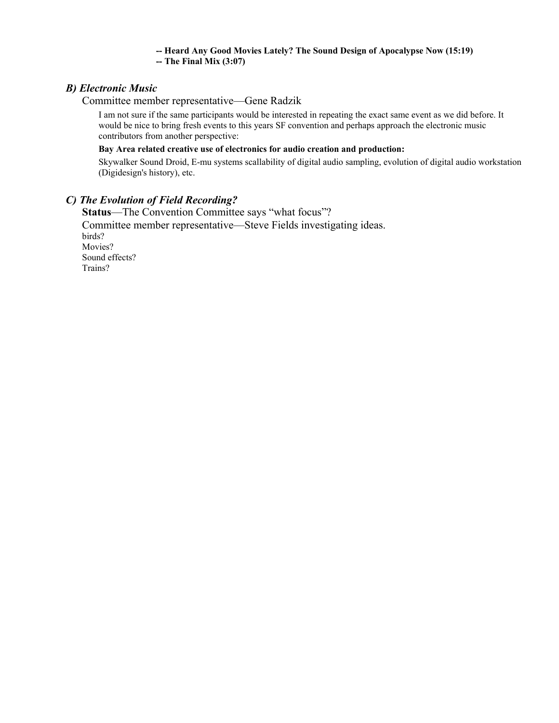# **-- Heard Any Good Movies Lately? The Sound Design of Apocalypse Now (15:19)**

**-- The Final Mix (3:07)**

# *B) Electronic Music*

Committee member representative—Gene Radzik

I am not sure if the same participants would be interested in repeating the exact same event as we did before. It would be nice to bring fresh events to this years SF convention and perhaps approach the electronic music contributors from another perspective:

#### **Bay Area related creative use of electronics for audio creation and production:**

Skywalker Sound Droid, E-mu systems scallability of digital audio sampling, evolution of digital audio workstation (Digidesign's history), etc.

# *C) The Evolution of Field Recording?*

**Status**—The Convention Committee says "what focus"? Committee member representative—Steve Fields investigating ideas. birds? Movies? Sound effects? Trains?